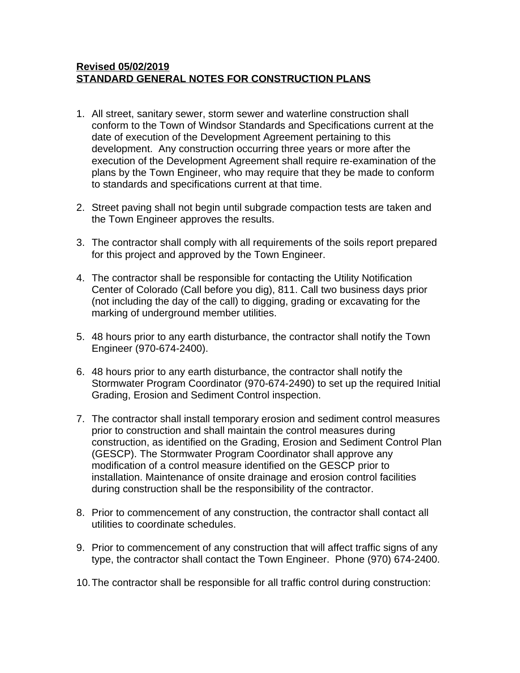## **Revised 05/02/2019 STANDARD GENERAL NOTES FOR CONSTRUCTION PLANS**

- 1. All street, sanitary sewer, storm sewer and waterline construction shall conform to the Town of Windsor Standards and Specifications current at the date of execution of the Development Agreement pertaining to this development. Any construction occurring three years or more after the execution of the Development Agreement shall require re-examination of the plans by the Town Engineer, who may require that they be made to conform to standards and specifications current at that time.
- 2. Street paving shall not begin until subgrade compaction tests are taken and the Town Engineer approves the results.
- 3. The contractor shall comply with all requirements of the soils report prepared for this project and approved by the Town Engineer.
- 4. The contractor shall be responsible for contacting the Utility Notification Center of Colorado (Call before you dig), 811. Call two business days prior (not including the day of the call) to digging, grading or excavating for the marking of underground member utilities.
- 5. 48 hours prior to any earth disturbance, the contractor shall notify the Town Engineer (970-674-2400).
- 6. 48 hours prior to any earth disturbance, the contractor shall notify the Stormwater Program Coordinator (970-674-2490) to set up the required Initial Grading, Erosion and Sediment Control inspection.
- 7. The contractor shall install temporary erosion and sediment control measures prior to construction and shall maintain the control measures during construction, as identified on the Grading, Erosion and Sediment Control Plan (GESCP). The Stormwater Program Coordinator shall approve any modification of a control measure identified on the GESCP prior to installation. Maintenance of onsite drainage and erosion control facilities during construction shall be the responsibility of the contractor.
- 8. Prior to commencement of any construction, the contractor shall contact all utilities to coordinate schedules.
- 9. Prior to commencement of any construction that will affect traffic signs of any type, the contractor shall contact the Town Engineer. Phone (970) 674-2400.
- 10.The contractor shall be responsible for all traffic control during construction: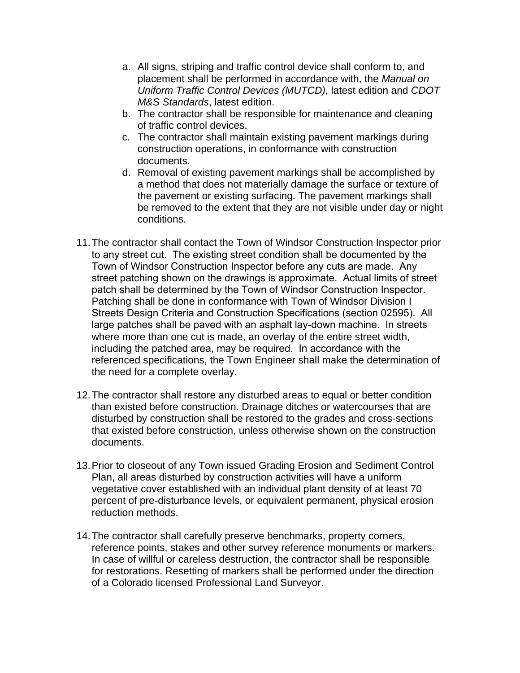- a. All signs, striping and traffic control device shall conform to, and placement shall be performed in accordance with, the *Manual on Uniform Traffic Control Devices (MUTCD),* latest edition and *CDOT M&S Standards*, latest edition.
- b. The contractor shall be responsible for maintenance and cleaning of traffic control devices.
- c. The contractor shall maintain existing pavement markings during construction operations, in conformance with construction documents.
- d. Removal of existing pavement markings shall be accomplished by a method that does not materially damage the surface or texture of the pavement or existing surfacing. The pavement markings shall be removed to the extent that they are not visible under day or night conditions.
- 11.The contractor shall contact the Town of Windsor Construction Inspector prior to any street cut. The existing street condition shall be documented by the Town of Windsor Construction Inspector before any cuts are made. Any street patching shown on the drawings is approximate. Actual limits of street patch shall be determined by the Town of Windsor Construction Inspector. Patching shall be done in conformance with Town of Windsor Division I Streets Design Criteria and Construction Specifications (section 02595). All large patches shall be paved with an asphalt lay-down machine. In streets where more than one cut is made, an overlay of the entire street width, including the patched area, may be required. In accordance with the referenced specifications, the Town Engineer shall make the determination of the need for a complete overlay.
- 12.The contractor shall restore any disturbed areas to equal or better condition than existed before construction. Drainage ditches or watercourses that are disturbed by construction shall be restored to the grades and cross-sections that existed before construction, unless otherwise shown on the construction documents.
- 13.Prior to closeout of any Town issued Grading Erosion and Sediment Control Plan, all areas disturbed by construction activities will have a uniform vegetative cover established with an individual plant density of at least 70 percent of pre-disturbance levels, or equivalent permanent, physical erosion reduction methods.
- 14.The contractor shall carefully preserve benchmarks, property corners, reference points, stakes and other survey reference monuments or markers. In case of willful or careless destruction, the contractor shall be responsible for restorations. Resetting of markers shall be performed under the direction of a Colorado licensed Professional Land Surveyor.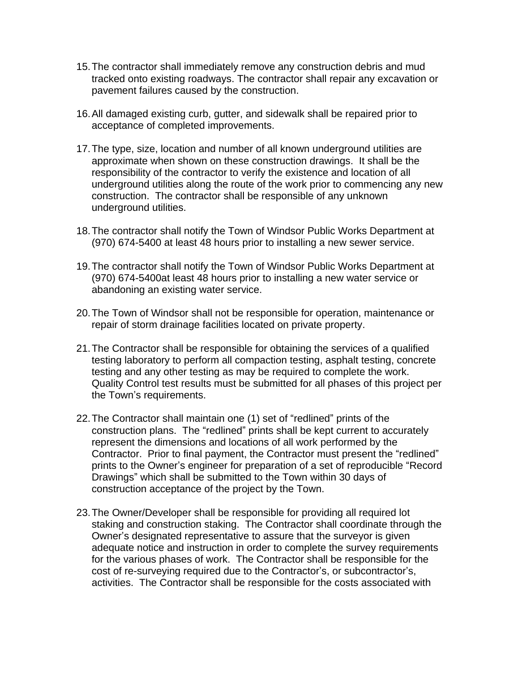- 15.The contractor shall immediately remove any construction debris and mud tracked onto existing roadways. The contractor shall repair any excavation or pavement failures caused by the construction.
- 16.All damaged existing curb, gutter, and sidewalk shall be repaired prior to acceptance of completed improvements.
- 17.The type, size, location and number of all known underground utilities are approximate when shown on these construction drawings. It shall be the responsibility of the contractor to verify the existence and location of all underground utilities along the route of the work prior to commencing any new construction. The contractor shall be responsible of any unknown underground utilities.
- 18.The contractor shall notify the Town of Windsor Public Works Department at (970) 674-5400 at least 48 hours prior to installing a new sewer service.
- 19.The contractor shall notify the Town of Windsor Public Works Department at (970) 674-5400at least 48 hours prior to installing a new water service or abandoning an existing water service.
- 20.The Town of Windsor shall not be responsible for operation, maintenance or repair of storm drainage facilities located on private property.
- 21.The Contractor shall be responsible for obtaining the services of a qualified testing laboratory to perform all compaction testing, asphalt testing, concrete testing and any other testing as may be required to complete the work. Quality Control test results must be submitted for all phases of this project per the Town's requirements.
- 22.The Contractor shall maintain one (1) set of "redlined" prints of the construction plans. The "redlined" prints shall be kept current to accurately represent the dimensions and locations of all work performed by the Contractor. Prior to final payment, the Contractor must present the "redlined" prints to the Owner's engineer for preparation of a set of reproducible "Record Drawings" which shall be submitted to the Town within 30 days of construction acceptance of the project by the Town.
- 23.The Owner/Developer shall be responsible for providing all required lot staking and construction staking. The Contractor shall coordinate through the Owner's designated representative to assure that the surveyor is given adequate notice and instruction in order to complete the survey requirements for the various phases of work. The Contractor shall be responsible for the cost of re-surveying required due to the Contractor's, or subcontractor's, activities. The Contractor shall be responsible for the costs associated with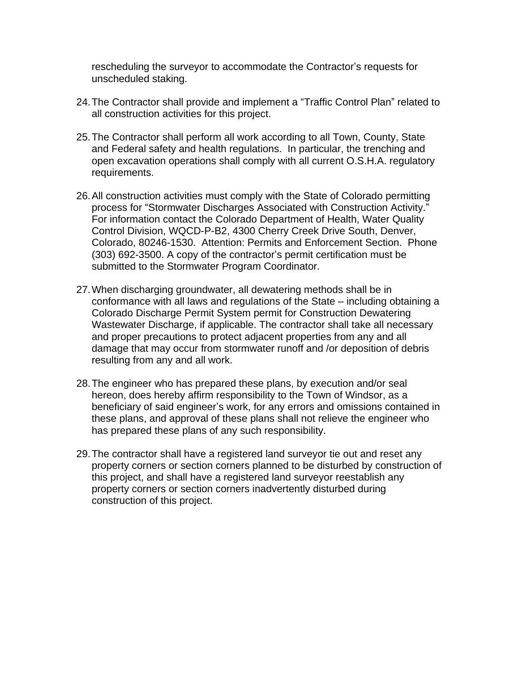rescheduling the surveyor to accommodate the Contractor's requests for unscheduled staking.

- 24.The Contractor shall provide and implement a "Traffic Control Plan" related to all construction activities for this project.
- 25.The Contractor shall perform all work according to all Town, County, State and Federal safety and health regulations. In particular, the trenching and open excavation operations shall comply with all current O.S.H.A. regulatory requirements.
- 26.All construction activities must comply with the State of Colorado permitting process for "Stormwater Discharges Associated with Construction Activity." For information contact the Colorado Department of Health, Water Quality Control Division, WQCD-P-B2, 4300 Cherry Creek Drive South, Denver, Colorado, 80246-1530. Attention: Permits and Enforcement Section. Phone (303) 692-3500. A copy of the contractor's permit certification must be submitted to the Stormwater Program Coordinator.
- 27.When discharging groundwater, all dewatering methods shall be in conformance with all laws and regulations of the State – including obtaining a Colorado Discharge Permit System permit for Construction Dewatering Wastewater Discharge, if applicable. The contractor shall take all necessary and proper precautions to protect adjacent properties from any and all damage that may occur from stormwater runoff and /or deposition of debris resulting from any and all work.
- 28.The engineer who has prepared these plans, by execution and/or seal hereon, does hereby affirm responsibility to the Town of Windsor, as a beneficiary of said engineer's work, for any errors and omissions contained in these plans, and approval of these plans shall not relieve the engineer who has prepared these plans of any such responsibility.
- 29.The contractor shall have a registered land surveyor tie out and reset any property corners or section corners planned to be disturbed by construction of this project, and shall have a registered land surveyor reestablish any property corners or section corners inadvertently disturbed during construction of this project.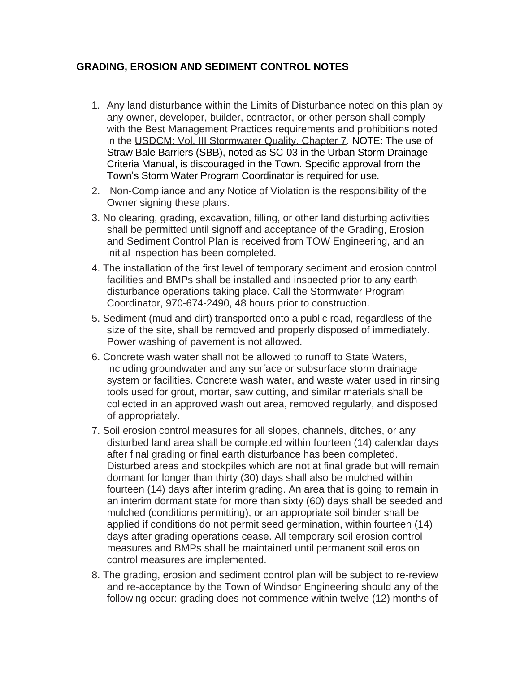## **GRADING, EROSION AND SEDIMENT CONTROL NOTES**

- 1. Any land disturbance within the Limits of Disturbance noted on this plan by any owner, developer, builder, contractor, or other person shall comply with the Best Management Practices requirements and prohibitions noted in the USDCM: Vol. III Stormwater Quality, Chapter 7. NOTE: The use of Straw Bale Barriers (SBB), noted as SC-03 in the Urban Storm Drainage Criteria Manual, is discouraged in the Town. Specific approval from the Town's Storm Water Program Coordinator is required for use.
- 2. Non-Compliance and any Notice of Violation is the responsibility of the Owner signing these plans.
- 3. No clearing, grading, excavation, filling, or other land disturbing activities shall be permitted until signoff and acceptance of the Grading, Erosion and Sediment Control Plan is received from TOW Engineering, and an initial inspection has been completed.
- 4. The installation of the first level of temporary sediment and erosion control facilities and BMPs shall be installed and inspected prior to any earth disturbance operations taking place. Call the Stormwater Program Coordinator, 970-674-2490, 48 hours prior to construction.
- 5. Sediment (mud and dirt) transported onto a public road, regardless of the size of the site, shall be removed and properly disposed of immediately. Power washing of pavement is not allowed.
- 6. Concrete wash water shall not be allowed to runoff to State Waters, including groundwater and any surface or subsurface storm drainage system or facilities. Concrete wash water, and waste water used in rinsing tools used for grout, mortar, saw cutting, and similar materials shall be collected in an approved wash out area, removed regularly, and disposed of appropriately.
- 7. Soil erosion control measures for all slopes, channels, ditches, or any disturbed land area shall be completed within fourteen (14) calendar days after final grading or final earth disturbance has been completed. Disturbed areas and stockpiles which are not at final grade but will remain dormant for longer than thirty (30) days shall also be mulched within fourteen (14) days after interim grading. An area that is going to remain in an interim dormant state for more than sixty (60) days shall be seeded and mulched (conditions permitting), or an appropriate soil binder shall be applied if conditions do not permit seed germination, within fourteen (14) days after grading operations cease. All temporary soil erosion control measures and BMPs shall be maintained until permanent soil erosion control measures are implemented.
- 8. The grading, erosion and sediment control plan will be subject to re-review and re-acceptance by the Town of Windsor Engineering should any of the following occur: grading does not commence within twelve (12) months of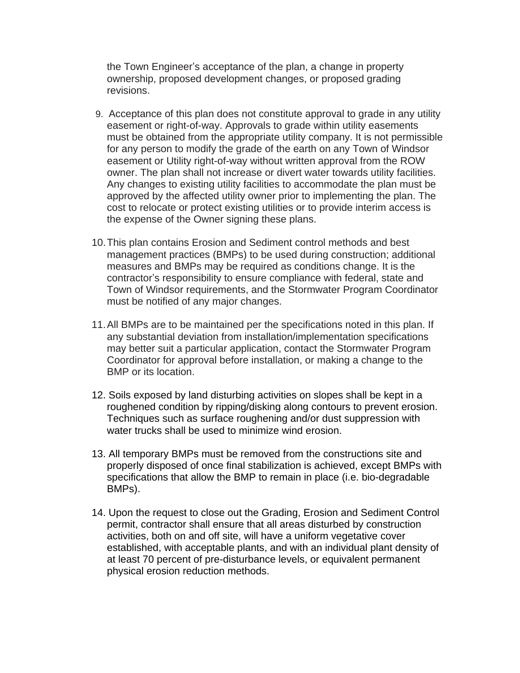the Town Engineer's acceptance of the plan, a change in property ownership, proposed development changes, or proposed grading revisions.

- 9. Acceptance of this plan does not constitute approval to grade in any utility easement or right-of-way. Approvals to grade within utility easements must be obtained from the appropriate utility company. It is not permissible for any person to modify the grade of the earth on any Town of Windsor easement or Utility right-of-way without written approval from the ROW owner. The plan shall not increase or divert water towards utility facilities. Any changes to existing utility facilities to accommodate the plan must be approved by the affected utility owner prior to implementing the plan. The cost to relocate or protect existing utilities or to provide interim access is the expense of the Owner signing these plans.
- 10.This plan contains Erosion and Sediment control methods and best management practices (BMPs) to be used during construction; additional measures and BMPs may be required as conditions change. It is the contractor's responsibility to ensure compliance with federal, state and Town of Windsor requirements, and the Stormwater Program Coordinator must be notified of any major changes.
- 11.All BMPs are to be maintained per the specifications noted in this plan. If any substantial deviation from installation/implementation specifications may better suit a particular application, contact the Stormwater Program Coordinator for approval before installation, or making a change to the BMP or its location.
- 12. Soils exposed by land disturbing activities on slopes shall be kept in a roughened condition by ripping/disking along contours to prevent erosion. Techniques such as surface roughening and/or dust suppression with water trucks shall be used to minimize wind erosion.
- 13. All temporary BMPs must be removed from the constructions site and properly disposed of once final stabilization is achieved, except BMPs with specifications that allow the BMP to remain in place (i.e. bio-degradable BMPs).
- 14. Upon the request to close out the Grading, Erosion and Sediment Control permit, contractor shall ensure that all areas disturbed by construction activities, both on and off site, will have a uniform vegetative cover established, with acceptable plants, and with an individual plant density of at least 70 percent of pre-disturbance levels, or equivalent permanent physical erosion reduction methods.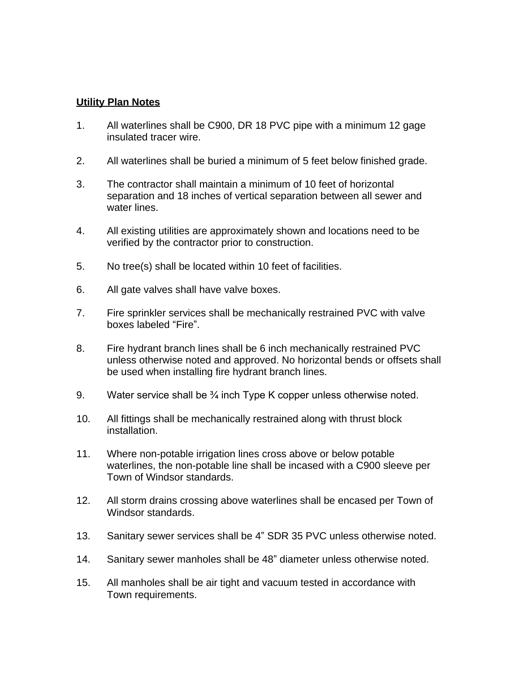## **Utility Plan Notes**

- 1. All waterlines shall be C900, DR 18 PVC pipe with a minimum 12 gage insulated tracer wire.
- 2. All waterlines shall be buried a minimum of 5 feet below finished grade.
- 3. The contractor shall maintain a minimum of 10 feet of horizontal separation and 18 inches of vertical separation between all sewer and water lines.
- 4. All existing utilities are approximately shown and locations need to be verified by the contractor prior to construction.
- 5. No tree(s) shall be located within 10 feet of facilities.
- 6. All gate valves shall have valve boxes.
- 7. Fire sprinkler services shall be mechanically restrained PVC with valve boxes labeled "Fire".
- 8. Fire hydrant branch lines shall be 6 inch mechanically restrained PVC unless otherwise noted and approved. No horizontal bends or offsets shall be used when installing fire hydrant branch lines.
- 9. Water service shall be <sup>3</sup>/4 inch Type K copper unless otherwise noted.
- 10. All fittings shall be mechanically restrained along with thrust block installation.
- 11. Where non-potable irrigation lines cross above or below potable waterlines, the non-potable line shall be incased with a C900 sleeve per Town of Windsor standards.
- 12. All storm drains crossing above waterlines shall be encased per Town of Windsor standards.
- 13. Sanitary sewer services shall be 4" SDR 35 PVC unless otherwise noted.
- 14. Sanitary sewer manholes shall be 48" diameter unless otherwise noted.
- 15. All manholes shall be air tight and vacuum tested in accordance with Town requirements.